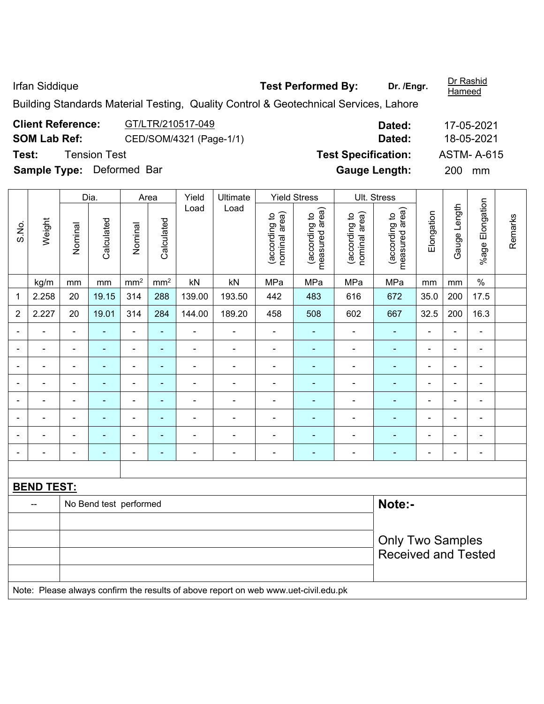Irfan Siddique **Test Performed By:** Dr. /Engr.

Dr Rashid<br>Hameed

Building Standards Material Testing, Quality Control & Geotechnical Services, Lahore

| GT/LTR/210517-049       | Dated:                                           | 17-05-2021        |
|-------------------------|--------------------------------------------------|-------------------|
| CED/SOM/4321 (Page-1/1) | Dated:                                           | 18-05-2021        |
|                         | <b>Test Specification:</b>                       | <b>ASTM-A-615</b> |
|                         | <b>Gauge Length:</b>                             | 200<br>mm         |
|                         | Tension Test<br><b>Sample Type:</b> Deformed Bar |                   |

|                   |                |                                  | Dia.           |                          | Area            |                              | Yield<br>Ultimate                                                                    |                                | <b>Yield Stress</b>             |                                | Ult. Stress                     |                |                |                          |         |
|-------------------|----------------|----------------------------------|----------------|--------------------------|-----------------|------------------------------|--------------------------------------------------------------------------------------|--------------------------------|---------------------------------|--------------------------------|---------------------------------|----------------|----------------|--------------------------|---------|
| S.No.             | Weight         | Nominal                          | Calculated     | Nominal                  | Calculated      | Load                         | Load                                                                                 | nominal area)<br>(according to | measured area)<br>(according to | (according to<br>nominal area) | measured area)<br>(according to | Elongation     | Gauge Length   | %age Elongation          | Remarks |
|                   | kg/m           | mm                               | mm             | mm <sup>2</sup>          | mm <sup>2</sup> | kN                           | kN                                                                                   | MPa                            | MPa                             | MPa                            | MPa                             | mm             | mm             | $\%$                     |         |
| 1                 | 2.258          | 20                               | 19.15          | 314                      | 288             | 139.00                       | 193.50                                                                               | 442                            | 483                             | 616                            | 672                             | 35.0           | 200            | 17.5                     |         |
| $\overline{2}$    | 2.227          | 20                               | 19.01          | 314                      | 284             | 144.00                       | 189.20                                                                               | 458                            | 508                             | 602                            | 667                             | 32.5           | 200            | 16.3                     |         |
| $\blacksquare$    | $\blacksquare$ | $\blacksquare$                   | $\blacksquare$ | $\overline{\phantom{a}}$ | $\blacksquare$  | $\blacksquare$               | ÷                                                                                    | $\blacksquare$                 | $\blacksquare$                  | ä,                             | $\blacksquare$                  | $\blacksquare$ | ÷,             | $\blacksquare$           |         |
| $\blacksquare$    | ÷,             | $\overline{a}$                   | $\blacksquare$ | $\blacksquare$           | $\blacksquare$  | ÷,                           | Ē,                                                                                   | $\blacksquare$                 | ÷                               | $\overline{\phantom{a}}$       | $\blacksquare$                  | $\blacksquare$ | $\blacksquare$ | $\blacksquare$           |         |
|                   | $\blacksquare$ | $\blacksquare$                   | $\blacksquare$ | $\overline{\phantom{a}}$ | $\blacksquare$  | ۰                            | ÷                                                                                    | $\overline{\phantom{a}}$       | $\blacksquare$                  | ÷                              | $\blacksquare$                  | $\blacksquare$ | $\blacksquare$ | $\overline{\phantom{a}}$ |         |
|                   |                |                                  | $\blacksquare$ | ۰                        | ÷               |                              |                                                                                      | $\overline{a}$                 |                                 |                                |                                 |                | ä,             | ٠                        |         |
| $\blacksquare$    | ۰              | $\blacksquare$                   | $\blacksquare$ | $\overline{\phantom{a}}$ | $\blacksquare$  | ۰                            |                                                                                      | $\blacksquare$                 | ٠                               | ۰                              | ۰                               | $\blacksquare$ | $\blacksquare$ | $\blacksquare$           |         |
| ۰                 | $\blacksquare$ | $\blacksquare$                   | $\blacksquare$ | $\overline{\phantom{a}}$ | $\blacksquare$  | $\blacksquare$               | $\blacksquare$                                                                       | $\overline{\phantom{a}}$       | $\overline{\phantom{0}}$        | $\blacksquare$                 | $\overline{\phantom{0}}$        | $\blacksquare$ | $\blacksquare$ | $\overline{\phantom{a}}$ |         |
|                   | $\blacksquare$ | $\blacksquare$                   | $\blacksquare$ | $\blacksquare$           | $\blacksquare$  | $\qquad \qquad \blacksquare$ | $\blacksquare$                                                                       | $\blacksquare$                 | $\overline{\phantom{0}}$        | $\blacksquare$                 | ÷                               | ٠              | $\blacksquare$ | $\blacksquare$           |         |
|                   | $\blacksquare$ | $\blacksquare$                   | $\blacksquare$ | $\blacksquare$           | $\blacksquare$  | $\blacksquare$               | $\blacksquare$                                                                       | $\blacksquare$                 | $\blacksquare$                  | $\blacksquare$                 | $\blacksquare$                  | $\blacksquare$ | $\blacksquare$ | $\blacksquare$           |         |
|                   |                |                                  |                |                          |                 |                              |                                                                                      |                                |                                 |                                |                                 |                |                |                          |         |
| <b>BEND TEST:</b> |                |                                  |                |                          |                 |                              |                                                                                      |                                |                                 |                                |                                 |                |                |                          |         |
|                   | $-$            | Note:-<br>No Bend test performed |                |                          |                 |                              |                                                                                      |                                |                                 |                                |                                 |                |                |                          |         |
|                   |                |                                  |                |                          |                 |                              |                                                                                      |                                |                                 |                                |                                 |                |                |                          |         |
|                   |                |                                  |                |                          |                 |                              |                                                                                      |                                |                                 |                                | <b>Only Two Samples</b>         |                |                |                          |         |
|                   |                |                                  |                |                          |                 |                              |                                                                                      |                                |                                 |                                | <b>Received and Tested</b>      |                |                |                          |         |
|                   |                |                                  |                |                          |                 |                              |                                                                                      |                                |                                 |                                |                                 |                |                |                          |         |
|                   |                |                                  |                |                          |                 |                              | Note: Please always confirm the results of above report on web www.uet civil edu.ply |                                |                                 |                                |                                 |                |                |                          |         |

Note: Please always confirm the results of above report on web www.uet-civil.edu.pk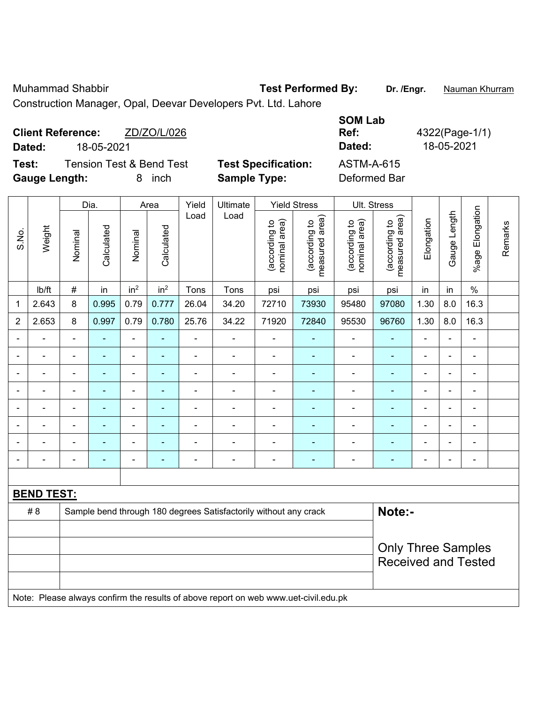Muhammad Shabbir **Test Performed By: Dr. /Engr.** Nauman Khurram

Construction Manager, Opal, Deevar Developers Pvt. Ltd. Lahore

| <b>Client Reference:</b><br>18-05-2021<br>Dated:          | ZD/ZO/L/026 |                                                   | <b>SOM Lab</b><br>Ref:<br>Dated:  | 4322(Page-1/1)<br>18-05-2021 |
|-----------------------------------------------------------|-------------|---------------------------------------------------|-----------------------------------|------------------------------|
| Tension Test & Bend Test<br>Test:<br><b>Gauge Length:</b> | inch<br>8.  | <b>Test Specification:</b><br><b>Sample Type:</b> | <b>ASTM-A-615</b><br>Deformed Bar |                              |

|                          |                                                                                     | Dia.                                                                       |                | Area                         |                 | Yield          | Ultimate                 |                                | <b>Yield Stress</b>             |                                | Ult. Stress                     |                          |                |                 |         |
|--------------------------|-------------------------------------------------------------------------------------|----------------------------------------------------------------------------|----------------|------------------------------|-----------------|----------------|--------------------------|--------------------------------|---------------------------------|--------------------------------|---------------------------------|--------------------------|----------------|-----------------|---------|
| S.No.                    | Weight                                                                              | Nominal                                                                    | Calculated     | Nominal                      | Calculated      | Load           | Load                     | nominal area)<br>(according to | (according to<br>measured area) | nominal area)<br>(according to | (according to<br>measured area) | Elongation               | Gauge Length   | %age Elongation | Remarks |
|                          | lb/ft                                                                               | $\#$                                                                       | in             | in <sup>2</sup>              | in <sup>2</sup> | Tons           | Tons                     | psi                            | psi                             | psi                            | psi                             | in                       | in             | $\%$            |         |
| 1                        | 2.643                                                                               | 8                                                                          | 0.995          | 0.79                         | 0.777           | 26.04          | 34.20                    | 72710                          | 73930                           | 95480                          | 97080                           | 1.30                     | 8.0            | 16.3            |         |
| $\overline{2}$           | 2.653                                                                               | 8                                                                          | 0.997          | 0.79                         | 0.780           | 25.76          | 34.22                    | 71920                          | 72840                           | 95530                          | 96760                           | 1.30                     | 8.0            | 16.3            |         |
| $\overline{\phantom{0}}$ | ä,                                                                                  | $\blacksquare$                                                             | ÷              | ÷,                           | ä,              | ÷,             | $\blacksquare$           | $\blacksquare$                 | ÷                               | ÷                              | $\blacksquare$                  | $\blacksquare$           | $\blacksquare$ | ä,              |         |
|                          | ä,                                                                                  | $\blacksquare$                                                             | $\blacksquare$ | $\overline{\phantom{0}}$     | $\blacksquare$  | ÷              | $\overline{\phantom{a}}$ | $\overline{\phantom{a}}$       | $\blacksquare$                  | $\overline{\phantom{a}}$       | ٠                               | $\blacksquare$           | $\blacksquare$ | $\blacksquare$  |         |
| $\blacksquare$           | ä,                                                                                  | $\blacksquare$                                                             | ÷              | $\overline{\phantom{0}}$     | ۰               | ä,             | $\blacksquare$           | $\blacksquare$                 | ٠                               | ÷                              | $\blacksquare$                  | $\blacksquare$           | Ě.             | $\blacksquare$  |         |
|                          | $\blacksquare$                                                                      | $\blacksquare$                                                             | ٠              | $\qquad \qquad \blacksquare$ | $\blacksquare$  | ä,             | $\blacksquare$           | $\blacksquare$                 | $\blacksquare$                  | $\overline{a}$                 | $\blacksquare$                  | $\blacksquare$           | ÷              | $\blacksquare$  |         |
|                          | L,                                                                                  | $\blacksquare$                                                             | ÷              | ÷,                           |                 | $\blacksquare$ | $\blacksquare$           | ÷,                             | ۰                               | $\blacksquare$                 | $\blacksquare$                  | ä,                       | ÷              | $\blacksquare$  |         |
|                          |                                                                                     |                                                                            |                | -                            |                 |                |                          |                                |                                 |                                |                                 |                          |                | $\blacksquare$  |         |
|                          |                                                                                     |                                                                            |                | ä,                           |                 |                |                          | -                              |                                 |                                |                                 |                          |                |                 |         |
| $\blacksquare$           |                                                                                     | $\blacksquare$                                                             | $\blacksquare$ | -                            | ۰               | $\blacksquare$ | $\blacksquare$           | $\blacksquare$                 | ۰                               | $\overline{\phantom{0}}$       | $\blacksquare$                  | $\overline{\phantom{0}}$ | $\blacksquare$ | $\blacksquare$  |         |
|                          |                                                                                     |                                                                            |                |                              |                 |                |                          |                                |                                 |                                |                                 |                          |                |                 |         |
| <b>BEND TEST:</b>        |                                                                                     |                                                                            |                |                              |                 |                |                          |                                |                                 |                                |                                 |                          |                |                 |         |
|                          | #8                                                                                  | Note:-<br>Sample bend through 180 degrees Satisfactorily without any crack |                |                              |                 |                |                          |                                |                                 |                                |                                 |                          |                |                 |         |
|                          |                                                                                     |                                                                            |                |                              |                 |                |                          |                                |                                 |                                |                                 |                          |                |                 |         |
|                          |                                                                                     |                                                                            |                |                              |                 |                |                          |                                |                                 |                                | <b>Only Three Samples</b>       |                          |                |                 |         |
|                          |                                                                                     |                                                                            |                |                              |                 |                |                          | <b>Received and Tested</b>     |                                 |                                |                                 |                          |                |                 |         |
|                          |                                                                                     |                                                                            |                |                              |                 |                |                          |                                |                                 |                                |                                 |                          |                |                 |         |
|                          | Note: Please always confirm the results of above report on web www.uet-civil.edu.pk |                                                                            |                |                              |                 |                |                          |                                |                                 |                                |                                 |                          |                |                 |         |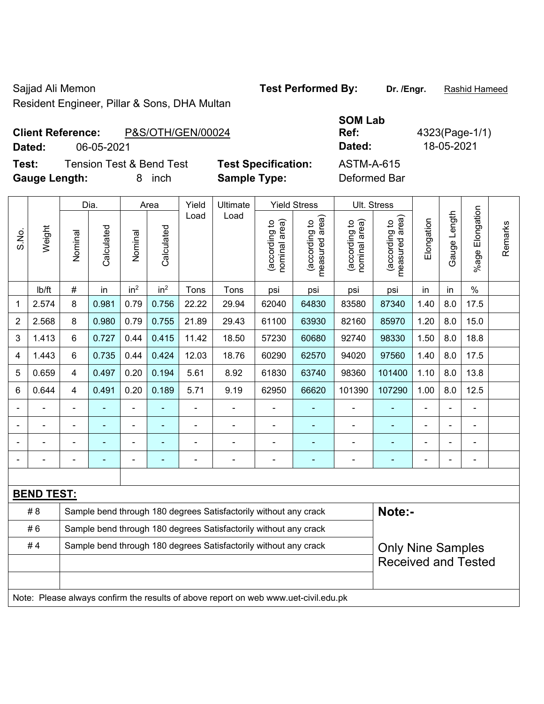Resident Engineer, Pillar & Sons, DHA Multan

Sajjad Ali Memon **Test Performed By:** Dr. /Engr. **Rashid Hameed** By: Dr. /Engr. **Rashid Hameed** 

## **Client Reference:** P&S/OTH/GEN/00024 **Dated:** 06-05-2021 **Dated:** 18-05-2021

**Test:** Tension Test & Bend Test Test Specification **Gauge Length:** 8 inch **Sample Type:** Deformed Bar

|    | --------<br>Ref: |
|----|------------------|
|    | Dated:           |
| n: | ASTM-A-615       |

**SOM Lab** 

**Ref:** 4323(Page-1/1)

|                |                                                                                     |                                                                            | Dia.           |                 | Area            |                | Ultimate       | <b>Yield Stress</b>            |                                 |                                | Ult. Stress                     |                |                |                       |         |
|----------------|-------------------------------------------------------------------------------------|----------------------------------------------------------------------------|----------------|-----------------|-----------------|----------------|----------------|--------------------------------|---------------------------------|--------------------------------|---------------------------------|----------------|----------------|-----------------------|---------|
| S.No.          | Weight                                                                              | Nominal                                                                    | Calculated     | Nominal         | Calculated      | Load           | Load           | nominal area)<br>(according to | (according to<br>measured area) | nominal area)<br>(according to | (according to<br>measured area) | Elongation     | Gauge Length   | Elongation<br>$%$ age | Remarks |
|                | lb/ft                                                                               | $\#$                                                                       | in             | in <sup>2</sup> | in <sup>2</sup> | Tons           | Tons           | psi                            | psi                             | psi                            | psi                             | in             | in             | $\%$                  |         |
| 1              | 2.574                                                                               | 8                                                                          | 0.981          | 0.79            | 0.756           | 22.22          | 29.94          | 62040                          | 64830                           | 83580                          | 87340                           | 1.40           | 8.0            | 17.5                  |         |
| $\overline{2}$ | 2.568                                                                               | 8                                                                          | 0.980          | 0.79            | 0.755           | 21.89          | 29.43          | 61100                          | 63930                           | 82160                          | 85970                           | 1.20           | 8.0            | 15.0                  |         |
| 3              | 1.413                                                                               | 6                                                                          | 0.727          | 0.44            | 0.415           | 11.42          | 18.50          | 57230                          | 60680                           | 92740                          | 98330                           | 1.50           | 8.0            | 18.8                  |         |
| 4              | 1.443                                                                               | 6                                                                          | 0.735          | 0.44            | 0.424           | 12.03          | 18.76          | 60290                          | 62570                           | 94020                          | 97560                           | 1.40           | 8.0            | 17.5                  |         |
| 5              | 0.659                                                                               | $\overline{4}$                                                             | 0.497          | 0.20            | 0.194           | 5.61           | 8.92           | 61830                          | 63740                           | 98360                          | 101400                          | 1.10           | 8.0            | 13.8                  |         |
| 6              | 0.644                                                                               | $\overline{4}$                                                             | 0.491          | 0.20            | 0.189           | 5.71           | 9.19           | 62950                          | 66620                           | 101390                         | 107290                          | 1.00           | 8.0            | 12.5                  |         |
| $\blacksquare$ |                                                                                     | $\blacksquare$                                                             | ÷              | $\blacksquare$  | ٠               | ÷,             | $\blacksquare$ | L,                             | $\blacksquare$                  | $\blacksquare$                 | ÷                               | $\blacksquare$ |                | ä,                    |         |
|                |                                                                                     |                                                                            |                |                 |                 |                | $\blacksquare$ | ÷                              | $\blacksquare$                  | $\blacksquare$                 |                                 |                |                | $\blacksquare$        |         |
|                |                                                                                     |                                                                            |                |                 |                 |                | $\blacksquare$ | $\blacksquare$                 |                                 |                                |                                 |                |                | $\blacksquare$        |         |
| $\blacksquare$ |                                                                                     | $\blacksquare$                                                             | $\blacksquare$ | $\blacksquare$  |                 | $\blacksquare$ | $\blacksquare$ | ä,                             | $\blacksquare$                  | $\blacksquare$                 | $\blacksquare$                  | $\blacksquare$ | $\blacksquare$ | $\blacksquare$        |         |
|                |                                                                                     |                                                                            |                |                 |                 |                |                |                                |                                 |                                |                                 |                |                |                       |         |
|                | <b>BEND TEST:</b>                                                                   |                                                                            |                |                 |                 |                |                |                                |                                 |                                |                                 |                |                |                       |         |
|                | #8                                                                                  | Sample bend through 180 degrees Satisfactorily without any crack<br>Note:- |                |                 |                 |                |                |                                |                                 |                                |                                 |                |                |                       |         |
|                | #6                                                                                  | Sample bend through 180 degrees Satisfactorily without any crack           |                |                 |                 |                |                |                                |                                 |                                |                                 |                |                |                       |         |
|                | #4                                                                                  | Sample bend through 180 degrees Satisfactorily without any crack           |                |                 |                 |                |                |                                |                                 |                                | <b>Only Nine Samples</b>        |                |                |                       |         |
|                |                                                                                     |                                                                            |                |                 |                 |                |                |                                |                                 | <b>Received and Tested</b>     |                                 |                |                |                       |         |
|                |                                                                                     |                                                                            |                |                 |                 |                |                |                                |                                 |                                |                                 |                |                |                       |         |
|                | Note: Please always confirm the results of above report on web www.uet-civil.edu.pk |                                                                            |                |                 |                 |                |                |                                |                                 |                                |                                 |                |                |                       |         |